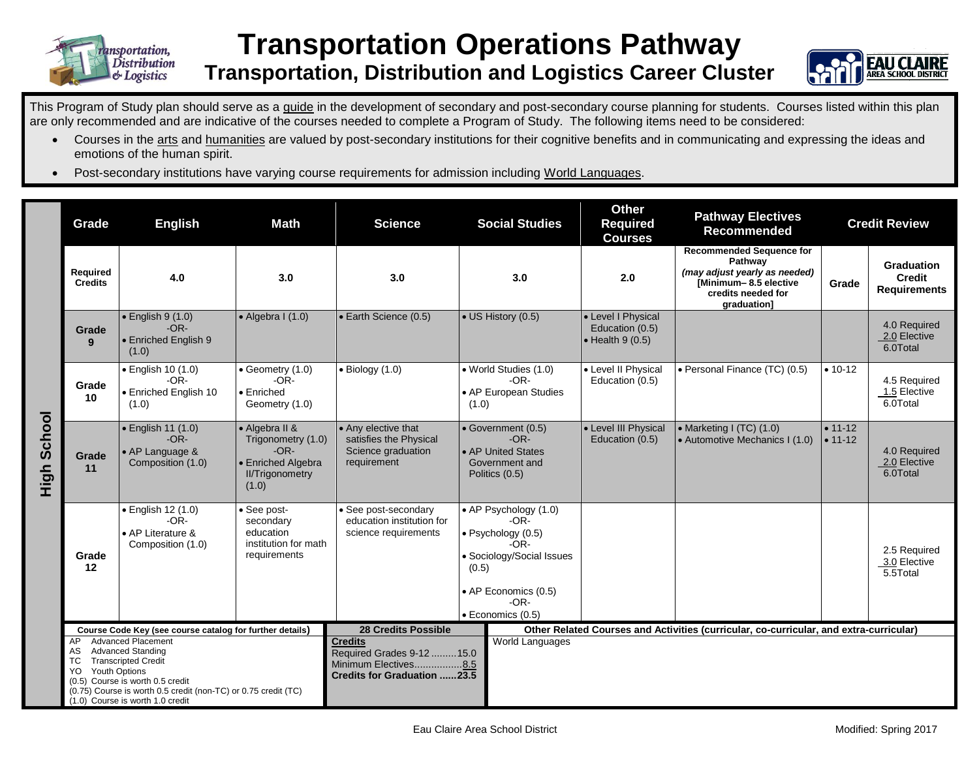

## **Transportation Operations Pathway Transportation, Distribution and Logistics Career Cluster**



This Program of Study plan should serve as a guide in the development of secondary and post-secondary course planning for students. Courses listed within this plan are only recommended and are indicative of the courses needed to complete a Program of Study. The following items need to be considered:

- Courses in the arts and humanities are valued by post-secondary institutions for their cognitive benefits and in communicating and expressing the ideas and emotions of the human spirit.
- Post-secondary institutions have varying course requirements for admission including World Languages.

|                    | Grade                                                                                                                                                                                                                                                                    | <b>English</b>                                                         | <b>Math</b>                                                                                             | <b>Science</b>                                                                                             | <b>Social Studies</b>                                                                                                                                        |  | <b>Other</b><br><b>Required</b><br><b>Courses</b>                                      | <b>Pathway Electives</b><br><b>Recommended</b>                                                                                            | <b>Credit Review</b>     |                                                           |
|--------------------|--------------------------------------------------------------------------------------------------------------------------------------------------------------------------------------------------------------------------------------------------------------------------|------------------------------------------------------------------------|---------------------------------------------------------------------------------------------------------|------------------------------------------------------------------------------------------------------------|--------------------------------------------------------------------------------------------------------------------------------------------------------------|--|----------------------------------------------------------------------------------------|-------------------------------------------------------------------------------------------------------------------------------------------|--------------------------|-----------------------------------------------------------|
|                    | Required<br><b>Credits</b>                                                                                                                                                                                                                                               | 4.0                                                                    | 3.0                                                                                                     | 3.0                                                                                                        | 3.0                                                                                                                                                          |  | 2.0                                                                                    | <b>Recommended Sequence for</b><br>Pathway<br>(may adjust yearly as needed)<br>[Minimum-8.5 elective<br>credits needed for<br>graduation] | Grade                    | <b>Graduation</b><br><b>Credit</b><br><b>Requirements</b> |
| <b>High School</b> | Grade<br>9                                                                                                                                                                                                                                                               | $\bullet$ English 9 (1.0)<br>$-OR-$<br>• Enriched English 9<br>(1.0)   | $\bullet$ Algebra I (1.0)                                                                               | • Earth Science (0.5)                                                                                      | • US History (0.5)                                                                                                                                           |  | • Level I Physical<br>Education (0.5)<br>$\bullet$ Health 9 (0.5)                      |                                                                                                                                           |                          | 4.0 Required<br>2.0 Elective<br>6.0Total                  |
|                    | Grade<br>10                                                                                                                                                                                                                                                              | · English 10 (1.0)<br>$-OR-$<br>• Enriched English 10<br>(1.0)         | • Geometry (1.0)<br>$-OR-$<br>• Enriched<br>Geometry (1.0)                                              | $\bullet$ Biology (1.0)                                                                                    | • World Studies (1.0)<br>$-OR-$<br>• AP European Studies<br>(1.0)                                                                                            |  | • Level II Physical<br>Education (0.5)                                                 | • Personal Finance (TC) (0.5)                                                                                                             | $• 10 - 12$              | 4.5 Required<br>1.5 Elective<br>6.0Total                  |
|                    | Grade<br>11                                                                                                                                                                                                                                                              | · English 11 (1.0)<br>$-OR-$<br>• AP Language &<br>Composition (1.0)   | • Algebra II &<br>Trigonometry (1.0)<br>$-OR-$<br>• Enriched Algebra<br><b>II/Trigonometry</b><br>(1.0) | • Any elective that<br>satisfies the Physical<br>Science graduation<br>requirement                         | • Government (0.5)<br>$-OR-$<br>• AP United States<br>Government and<br>Politics (0.5)                                                                       |  | • Level III Physical<br>Education (0.5)                                                | • Marketing I (TC) $(1.0)$<br>• Automotive Mechanics I (1.0)                                                                              | $• 11 - 12$<br>$• 11-12$ | 4.0 Required<br>2.0 Elective<br>6.0Total                  |
|                    | Grade<br>12                                                                                                                                                                                                                                                              | · English 12 (1.0)<br>$-OR-$<br>• AP Literature &<br>Composition (1.0) | See post-<br>secondary<br>education<br>institution for math<br>requirements                             | • See post-secondary<br>education institution for<br>science requirements                                  | • AP Psychology (1.0)<br>$-OR-$<br>· Psychology (0.5)<br>$-OR-$<br>• Sociology/Social Issues<br>(0.5)<br>• AP Economics (0.5)<br>$-OR-$<br>· Economics (0.5) |  |                                                                                        |                                                                                                                                           |                          | 2.5 Required<br>3.0 Elective<br>5.5Total                  |
|                    | Course Code Key (see course catalog for further details)                                                                                                                                                                                                                 |                                                                        |                                                                                                         | <b>28 Credits Possible</b>                                                                                 |                                                                                                                                                              |  | Other Related Courses and Activities (curricular, co-curricular, and extra-curricular) |                                                                                                                                           |                          |                                                           |
|                    | <b>Advanced Placement</b><br>AP<br><b>Advanced Standing</b><br>AS<br><b>Transcripted Credit</b><br>TC.<br>Youth Options<br>YO.<br>(0.5) Course is worth 0.5 credit<br>(0.75) Course is worth 0.5 credit (non-TC) or 0.75 credit (TC)<br>(1.0) Course is worth 1.0 credit |                                                                        |                                                                                                         | <b>Credits</b><br>Required Grades 9-12  15.0<br>Minimum Electives8.5<br><b>Credits for Graduation 23.5</b> | World Languages                                                                                                                                              |  |                                                                                        |                                                                                                                                           |                          |                                                           |